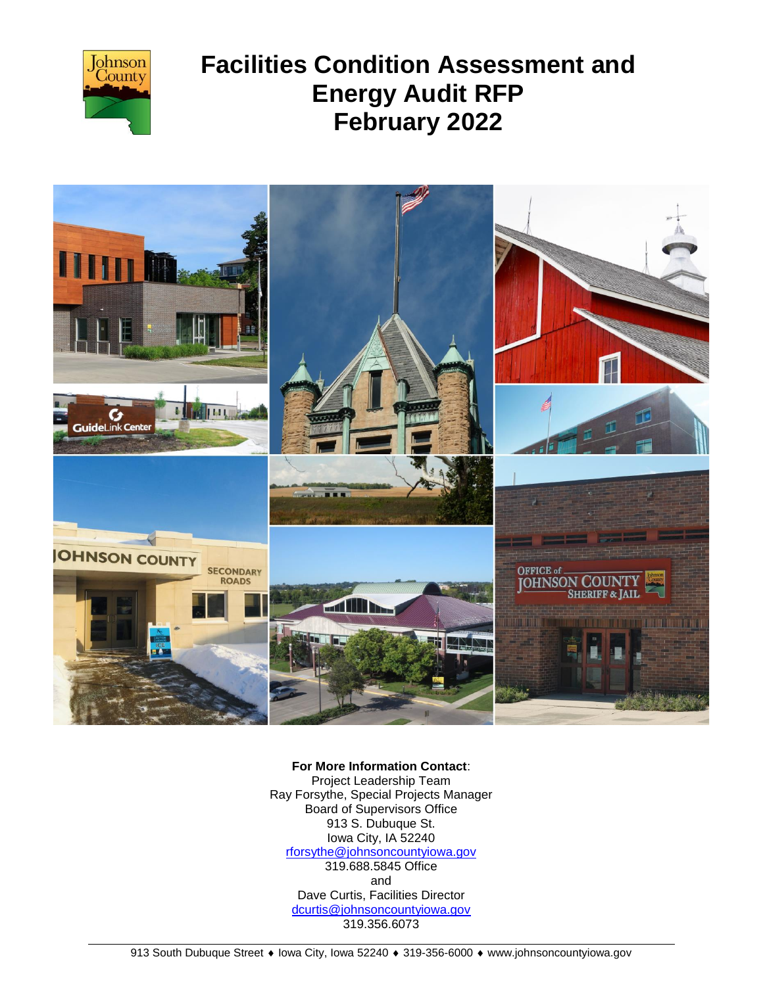



**For More Information Contact**: Project Leadership Team Ray Forsythe, Special Projects Manager Board of Supervisors Office 913 S. Dubuque St. Iowa City, IA 52240 [rforsythe@johnsoncountyiowa.gov](mailto:rforsythe@johnsoncountyiowa.gov) 319.688.5845 Office and Dave Curtis, Facilities Director [dcurtis@johnsoncountyiowa.gov](mailto:dcurtis@johnsoncountyiowa.gov)

319.356.6073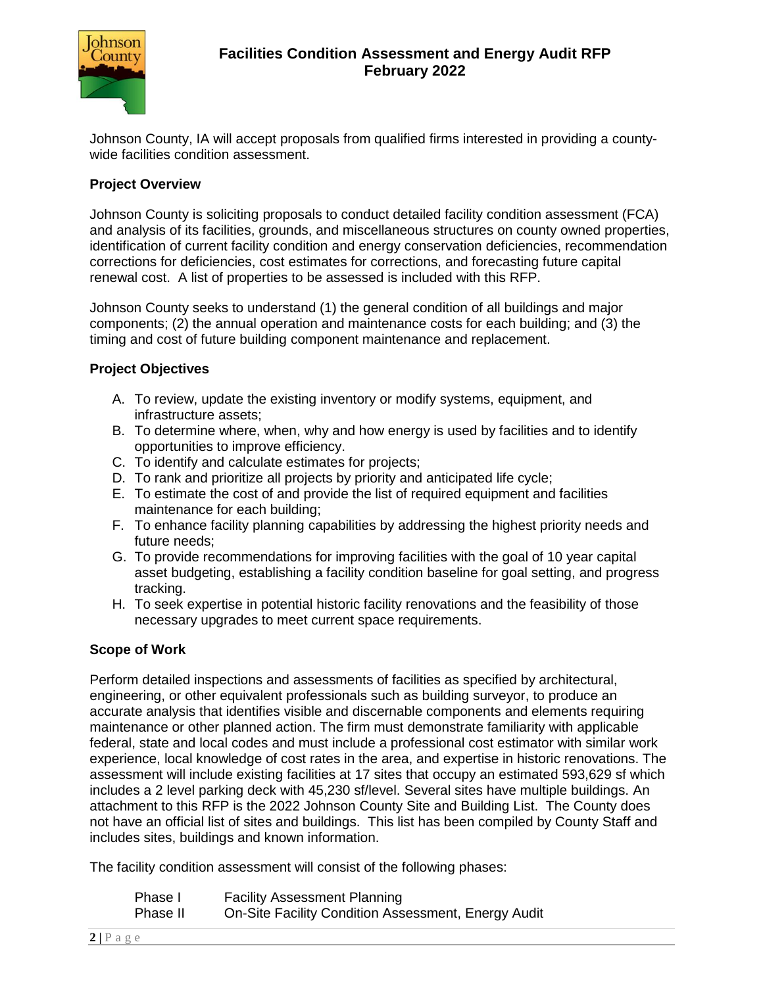

Johnson County, IA will accept proposals from qualified firms interested in providing a countywide facilities condition assessment.

#### **Project Overview**

Johnson County is soliciting proposals to conduct detailed facility condition assessment (FCA) and analysis of its facilities, grounds, and miscellaneous structures on county owned properties, identification of current facility condition and energy conservation deficiencies, recommendation corrections for deficiencies, cost estimates for corrections, and forecasting future capital renewal cost. A list of properties to be assessed is included with this RFP.

Johnson County seeks to understand (1) the general condition of all buildings and major components; (2) the annual operation and maintenance costs for each building; and (3) the timing and cost of future building component maintenance and replacement.

## **Project Objectives**

- A. To review, update the existing inventory or modify systems, equipment, and infrastructure assets;
- B. To determine where, when, why and how energy is used by facilities and to identify opportunities to improve efficiency.
- C. To identify and calculate estimates for projects;
- D. To rank and prioritize all projects by priority and anticipated life cycle;
- E. To estimate the cost of and provide the list of required equipment and facilities maintenance for each building;
- F. To enhance facility planning capabilities by addressing the highest priority needs and future needs;
- G. To provide recommendations for improving facilities with the goal of 10 year capital asset budgeting, establishing a facility condition baseline for goal setting, and progress tracking.
- H. To seek expertise in potential historic facility renovations and the feasibility of those necessary upgrades to meet current space requirements.

#### **Scope of Work**

Perform detailed inspections and assessments of facilities as specified by architectural, engineering, or other equivalent professionals such as building surveyor, to produce an accurate analysis that identifies visible and discernable components and elements requiring maintenance or other planned action. The firm must demonstrate familiarity with applicable federal, state and local codes and must include a professional cost estimator with similar work experience, local knowledge of cost rates in the area, and expertise in historic renovations. The assessment will include existing facilities at 17 sites that occupy an estimated 593,629 sf which includes a 2 level parking deck with 45,230 sf/level. Several sites have multiple buildings. An attachment to this RFP is the 2022 Johnson County Site and Building List. The County does not have an official list of sites and buildings. This list has been compiled by County Staff and includes sites, buildings and known information.

The facility condition assessment will consist of the following phases:

| Phase I  | <b>Facility Assessment Planning</b>                 |
|----------|-----------------------------------------------------|
| Phase II | On-Site Facility Condition Assessment, Energy Audit |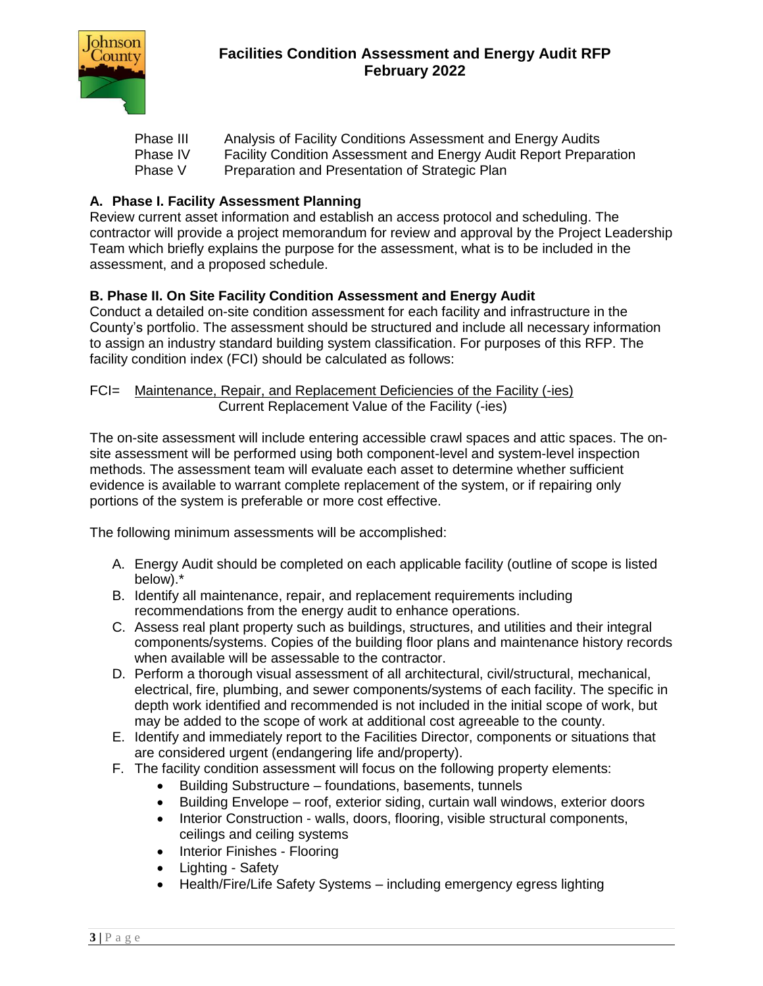

| Phase III | Analysis of Facility Conditions Assessment and Energy Audits             |
|-----------|--------------------------------------------------------------------------|
| Phase IV  | <b>Facility Condition Assessment and Energy Audit Report Preparation</b> |
| Phase V   | Preparation and Presentation of Strategic Plan                           |

#### **A. Phase I. Facility Assessment Planning**

Review current asset information and establish an access protocol and scheduling. The contractor will provide a project memorandum for review and approval by the Project Leadership Team which briefly explains the purpose for the assessment, what is to be included in the assessment, and a proposed schedule.

#### **B. Phase II. On Site Facility Condition Assessment and Energy Audit**

Conduct a detailed on-site condition assessment for each facility and infrastructure in the County's portfolio. The assessment should be structured and include all necessary information to assign an industry standard building system classification. For purposes of this RFP. The facility condition index (FCI) should be calculated as follows:

#### FCI= Maintenance, Repair, and Replacement Deficiencies of the Facility (-ies) Current Replacement Value of the Facility (-ies)

The on-site assessment will include entering accessible crawl spaces and attic spaces. The onsite assessment will be performed using both component-level and system-level inspection methods. The assessment team will evaluate each asset to determine whether sufficient evidence is available to warrant complete replacement of the system, or if repairing only portions of the system is preferable or more cost effective.

The following minimum assessments will be accomplished:

- A. Energy Audit should be completed on each applicable facility (outline of scope is listed below).\*
- B. Identify all maintenance, repair, and replacement requirements including recommendations from the energy audit to enhance operations.
- C. Assess real plant property such as buildings, structures, and utilities and their integral components/systems. Copies of the building floor plans and maintenance history records when available will be assessable to the contractor.
- D. Perform a thorough visual assessment of all architectural, civil/structural, mechanical, electrical, fire, plumbing, and sewer components/systems of each facility. The specific in depth work identified and recommended is not included in the initial scope of work, but may be added to the scope of work at additional cost agreeable to the county.
- E. Identify and immediately report to the Facilities Director, components or situations that are considered urgent (endangering life and/property).
- F. The facility condition assessment will focus on the following property elements:
	- Building Substructure foundations, basements, tunnels
	- Building Envelope roof, exterior siding, curtain wall windows, exterior doors
	- Interior Construction walls, doors, flooring, visible structural components, ceilings and ceiling systems
	- Interior Finishes Flooring
	- Lighting Safety
	- Health/Fire/Life Safety Systems including emergency egress lighting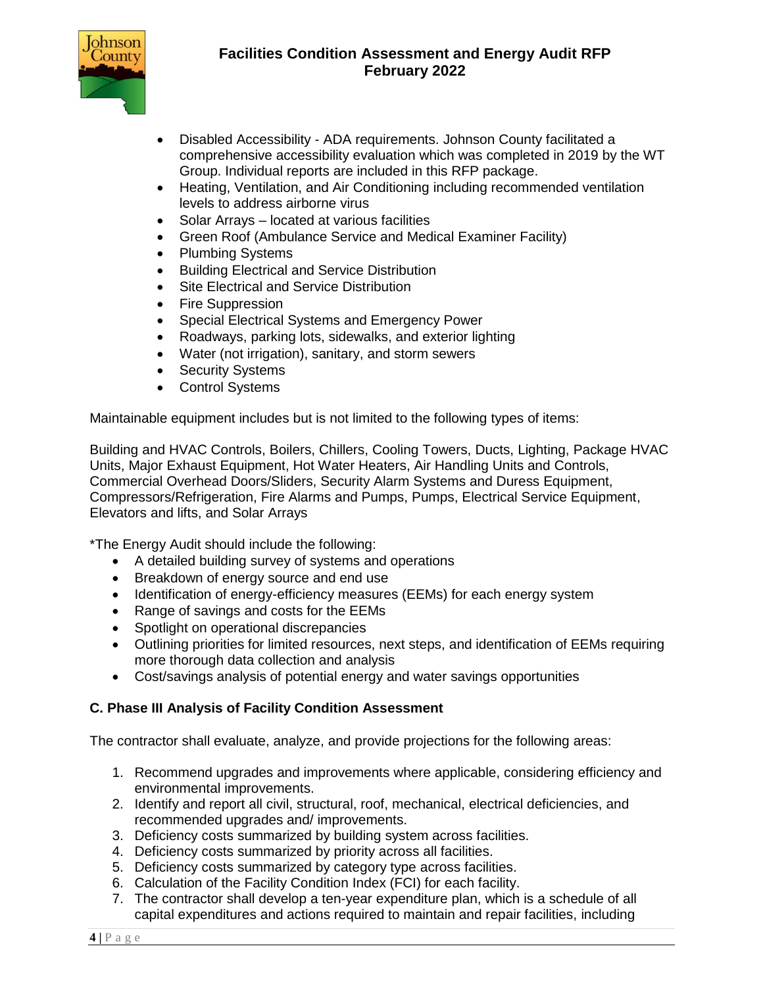

- Disabled Accessibility ADA requirements. Johnson County facilitated a comprehensive accessibility evaluation which was completed in 2019 by the WT Group. Individual reports are included in this RFP package.
- Heating, Ventilation, and Air Conditioning including recommended ventilation levels to address airborne virus
- Solar Arrays located at various facilities
- Green Roof (Ambulance Service and Medical Examiner Facility)
- Plumbing Systems
- Building Electrical and Service Distribution
- Site Electrical and Service Distribution
- Fire Suppression
- Special Electrical Systems and Emergency Power
- Roadways, parking lots, sidewalks, and exterior lighting
- Water (not irrigation), sanitary, and storm sewers
- Security Systems
- Control Systems

Maintainable equipment includes but is not limited to the following types of items:

Building and HVAC Controls, Boilers, Chillers, Cooling Towers, Ducts, Lighting, Package HVAC Units, Major Exhaust Equipment, Hot Water Heaters, Air Handling Units and Controls, Commercial Overhead Doors/Sliders, Security Alarm Systems and Duress Equipment, Compressors/Refrigeration, Fire Alarms and Pumps, Pumps, Electrical Service Equipment, Elevators and lifts, and Solar Arrays

\*The Energy Audit should include the following:

- A detailed building survey of systems and operations
- Breakdown of energy source and end use
- Identification of energy-efficiency measures (EEMs) for each energy system
- Range of savings and costs for the EEMs
- Spotlight on operational discrepancies
- Outlining priorities for limited resources, next steps, and identification of EEMs requiring more thorough data collection and analysis
- Cost/savings analysis of potential energy and water savings opportunities

# **C. Phase III Analysis of Facility Condition Assessment**

The contractor shall evaluate, analyze, and provide projections for the following areas:

- 1. Recommend upgrades and improvements where applicable, considering efficiency and environmental improvements.
- 2. Identify and report all civil, structural, roof, mechanical, electrical deficiencies, and recommended upgrades and/ improvements.
- 3. Deficiency costs summarized by building system across facilities.
- 4. Deficiency costs summarized by priority across all facilities.
- 5. Deficiency costs summarized by category type across facilities.
- 6. Calculation of the Facility Condition Index (FCI) for each facility.
- 7. The contractor shall develop a ten-year expenditure plan, which is a schedule of all capital expenditures and actions required to maintain and repair facilities, including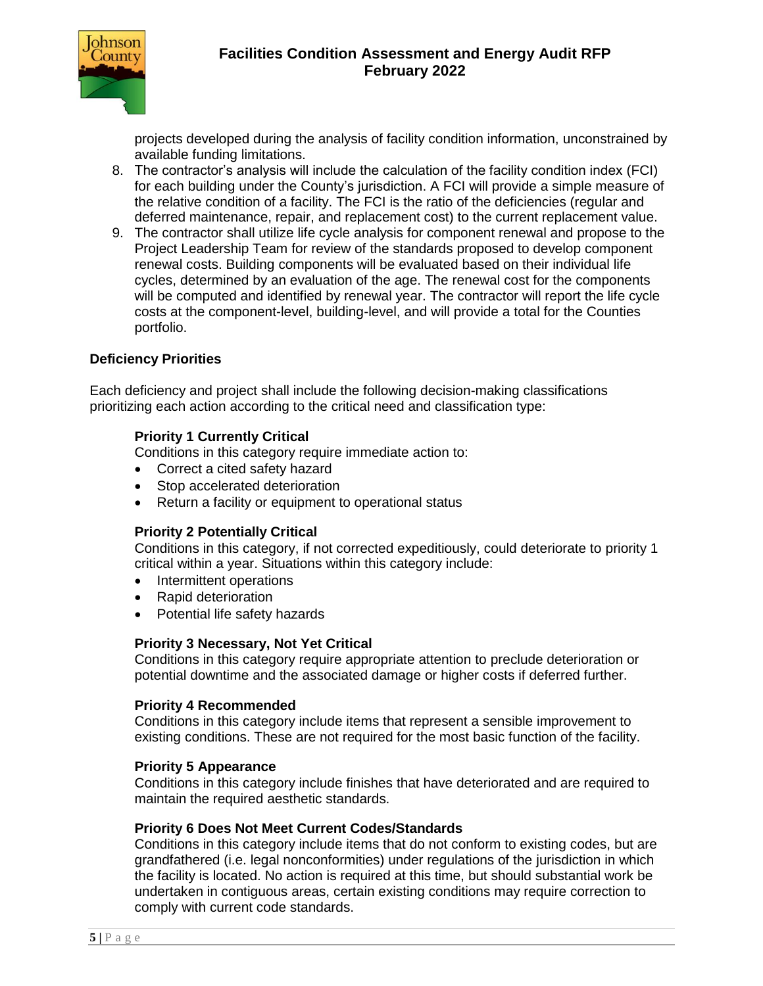

projects developed during the analysis of facility condition information, unconstrained by available funding limitations.

- 8. The contractor's analysis will include the calculation of the facility condition index (FCI) for each building under the County's jurisdiction. A FCI will provide a simple measure of the relative condition of a facility. The FCI is the ratio of the deficiencies (regular and deferred maintenance, repair, and replacement cost) to the current replacement value.
- 9. The contractor shall utilize life cycle analysis for component renewal and propose to the Project Leadership Team for review of the standards proposed to develop component renewal costs. Building components will be evaluated based on their individual life cycles, determined by an evaluation of the age. The renewal cost for the components will be computed and identified by renewal year. The contractor will report the life cycle costs at the component-level, building-level, and will provide a total for the Counties portfolio.

#### **Deficiency Priorities**

Each deficiency and project shall include the following decision-making classifications prioritizing each action according to the critical need and classification type:

#### **Priority 1 Currently Critical**

Conditions in this category require immediate action to:

- Correct a cited safety hazard
- Stop accelerated deterioration
- Return a facility or equipment to operational status

#### **Priority 2 Potentially Critical**

Conditions in this category, if not corrected expeditiously, could deteriorate to priority 1 critical within a year. Situations within this category include:

- Intermittent operations
- Rapid deterioration
- Potential life safety hazards

#### **Priority 3 Necessary, Not Yet Critical**

Conditions in this category require appropriate attention to preclude deterioration or potential downtime and the associated damage or higher costs if deferred further.

#### **Priority 4 Recommended**

Conditions in this category include items that represent a sensible improvement to existing conditions. These are not required for the most basic function of the facility.

#### **Priority 5 Appearance**

Conditions in this category include finishes that have deteriorated and are required to maintain the required aesthetic standards.

#### **Priority 6 Does Not Meet Current Codes/Standards**

Conditions in this category include items that do not conform to existing codes, but are grandfathered (i.e. legal nonconformities) under regulations of the jurisdiction in which the facility is located. No action is required at this time, but should substantial work be undertaken in contiguous areas, certain existing conditions may require correction to comply with current code standards.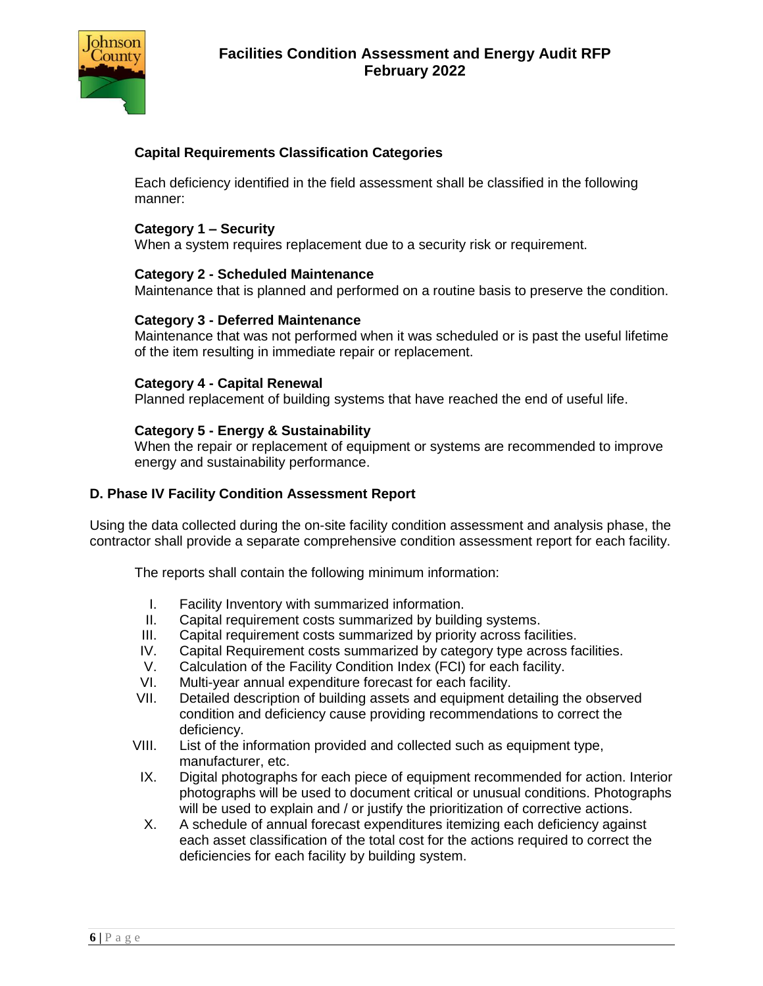

## **Capital Requirements Classification Categories**

Each deficiency identified in the field assessment shall be classified in the following manner:

#### **Category 1 – Security**

When a system requires replacement due to a security risk or requirement.

#### **Category 2 - Scheduled Maintenance**

Maintenance that is planned and performed on a routine basis to preserve the condition.

#### **Category 3 - Deferred Maintenance**

Maintenance that was not performed when it was scheduled or is past the useful lifetime of the item resulting in immediate repair or replacement.

#### **Category 4 - Capital Renewal**

Planned replacement of building systems that have reached the end of useful life.

#### **Category 5 - Energy & Sustainability**

When the repair or replacement of equipment or systems are recommended to improve energy and sustainability performance.

#### **D. Phase IV Facility Condition Assessment Report**

Using the data collected during the on-site facility condition assessment and analysis phase, the contractor shall provide a separate comprehensive condition assessment report for each facility.

The reports shall contain the following minimum information:

- I. Facility Inventory with summarized information.
- II. Capital requirement costs summarized by building systems.
- III. Capital requirement costs summarized by priority across facilities.
- IV. Capital Requirement costs summarized by category type across facilities.
- V. Calculation of the Facility Condition Index (FCI) for each facility.
- VI. Multi-year annual expenditure forecast for each facility.<br>VII. Detailed description of building assets and equipment d
- Detailed description of building assets and equipment detailing the observed condition and deficiency cause providing recommendations to correct the deficiency.
- VIII. List of the information provided and collected such as equipment type, manufacturer, etc.
- IX. Digital photographs for each piece of equipment recommended for action. Interior photographs will be used to document critical or unusual conditions. Photographs will be used to explain and / or justify the prioritization of corrective actions.
- X. A schedule of annual forecast expenditures itemizing each deficiency against each asset classification of the total cost for the actions required to correct the deficiencies for each facility by building system.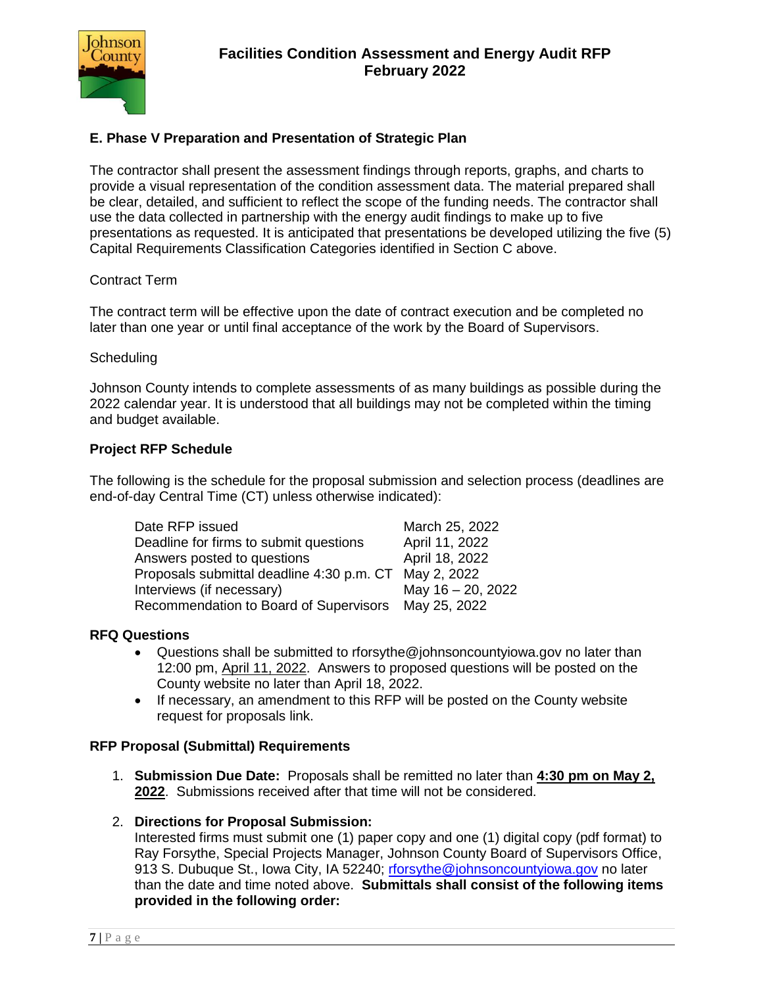

# **E. Phase V Preparation and Presentation of Strategic Plan**

The contractor shall present the assessment findings through reports, graphs, and charts to provide a visual representation of the condition assessment data. The material prepared shall be clear, detailed, and sufficient to reflect the scope of the funding needs. The contractor shall use the data collected in partnership with the energy audit findings to make up to five presentations as requested. It is anticipated that presentations be developed utilizing the five (5) Capital Requirements Classification Categories identified in Section C above.

#### Contract Term

The contract term will be effective upon the date of contract execution and be completed no later than one year or until final acceptance of the work by the Board of Supervisors.

#### **Scheduling**

Johnson County intends to complete assessments of as many buildings as possible during the 2022 calendar year. It is understood that all buildings may not be completed within the timing and budget available.

#### **Project RFP Schedule**

The following is the schedule for the proposal submission and selection process (deadlines are end-of-day Central Time (CT) unless otherwise indicated):

| Date RFP issued                                       | March 25, 2022    |
|-------------------------------------------------------|-------------------|
| Deadline for firms to submit questions                | April 11, 2022    |
| Answers posted to questions                           | April 18, 2022    |
| Proposals submittal deadline 4:30 p.m. CT May 2, 2022 |                   |
| Interviews (if necessary)                             | May 16 - 20, 2022 |
| Recommendation to Board of Supervisors May 25, 2022   |                   |

#### **RFQ Questions**

- Questions shall be submitted to rforsythe@johnsoncountyiowa.gov no later than 12:00 pm, April 11, 2022. Answers to proposed questions will be posted on the County website no later than April 18, 2022.
- If necessary, an amendment to this RFP will be posted on the County website request for proposals link.

#### **RFP Proposal (Submittal) Requirements**

- 1. **Submission Due Date:** Proposals shall be remitted no later than **4:30 pm on May 2, 2022**. Submissions received after that time will not be considered.
- 2. **Directions for Proposal Submission:**

Interested firms must submit one (1) paper copy and one (1) digital copy (pdf format) to Ray Forsythe, Special Projects Manager, Johnson County Board of Supervisors Office, 913 S. Dubuque St., Iowa City, IA 52240; [rforsythe@johnsoncountyiowa.gov](mailto:rforsythe@johnsoncountyiowa.gov) no later than the date and time noted above. **Submittals shall consist of the following items provided in the following order:**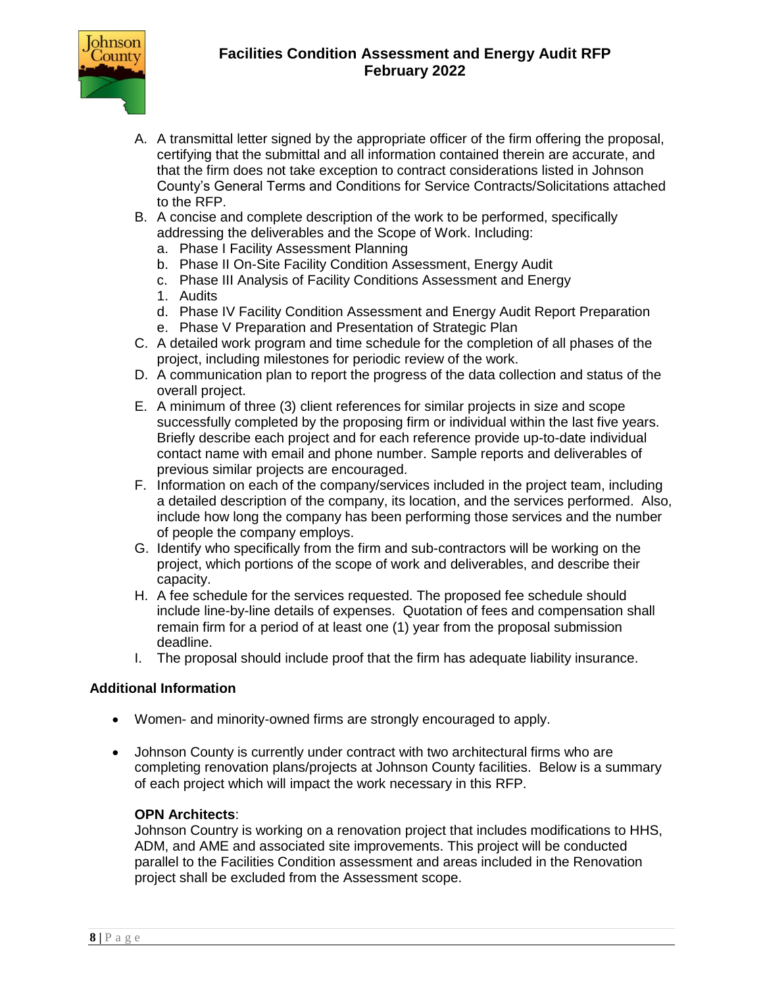

- A. A transmittal letter signed by the appropriate officer of the firm offering the proposal, certifying that the submittal and all information contained therein are accurate, and that the firm does not take exception to contract considerations listed in Johnson County's General Terms and Conditions for Service Contracts/Solicitations attached to the RFP.
- B. A concise and complete description of the work to be performed, specifically addressing the deliverables and the Scope of Work. Including:
	- a. Phase I Facility Assessment Planning
	- b. Phase II On-Site Facility Condition Assessment, Energy Audit
	- c. Phase III Analysis of Facility Conditions Assessment and Energy
	- 1. Audits
	- d. Phase IV Facility Condition Assessment and Energy Audit Report Preparation
	- e. Phase V Preparation and Presentation of Strategic Plan
- C. A detailed work program and time schedule for the completion of all phases of the project, including milestones for periodic review of the work.
- D. A communication plan to report the progress of the data collection and status of the overall project.
- E. A minimum of three (3) client references for similar projects in size and scope successfully completed by the proposing firm or individual within the last five years. Briefly describe each project and for each reference provide up-to-date individual contact name with email and phone number. Sample reports and deliverables of previous similar projects are encouraged.
- F. Information on each of the company/services included in the project team, including a detailed description of the company, its location, and the services performed. Also, include how long the company has been performing those services and the number of people the company employs.
- G. Identify who specifically from the firm and sub-contractors will be working on the project, which portions of the scope of work and deliverables, and describe their capacity.
- H. A fee schedule for the services requested. The proposed fee schedule should include line-by-line details of expenses. Quotation of fees and compensation shall remain firm for a period of at least one (1) year from the proposal submission deadline.
- I. The proposal should include proof that the firm has adequate liability insurance.

#### **Additional Information**

- Women- and minority-owned firms are strongly encouraged to apply.
- Johnson County is currently under contract with two architectural firms who are completing renovation plans/projects at Johnson County facilities. Below is a summary of each project which will impact the work necessary in this RFP.

#### **OPN Architects**:

Johnson Country is working on a renovation project that includes modifications to HHS, ADM, and AME and associated site improvements. This project will be conducted parallel to the Facilities Condition assessment and areas included in the Renovation project shall be excluded from the Assessment scope.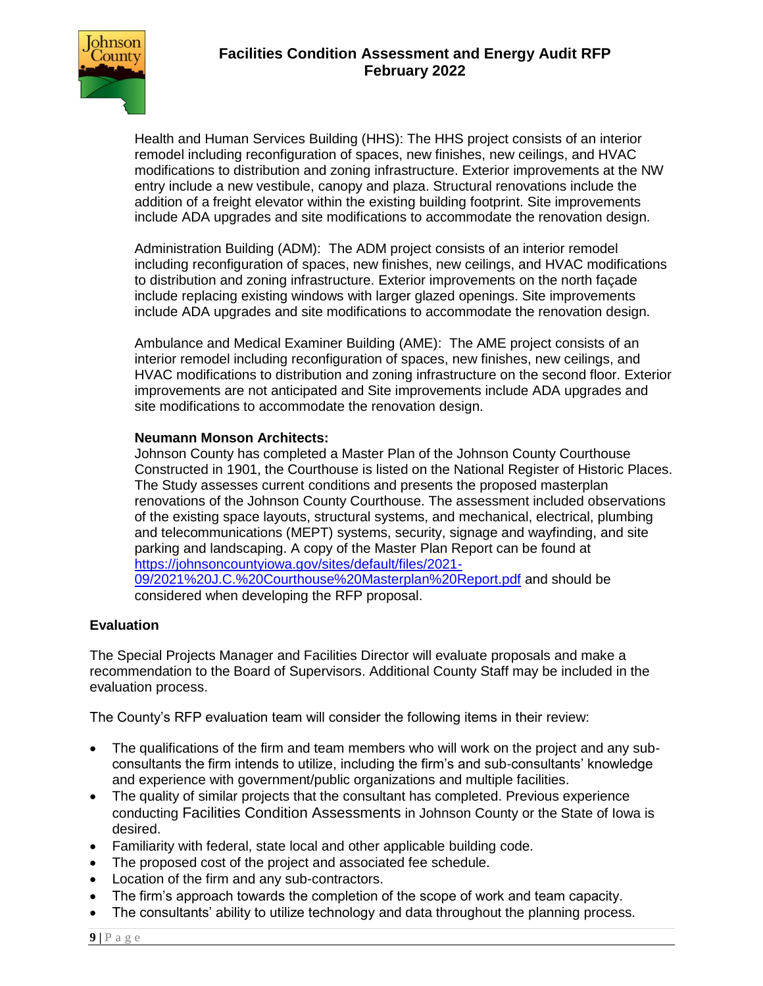

Health and Human Services Building (HHS): The HHS project consists of an interior remodel including reconfiguration of spaces, new finishes, new ceilings, and HVAC modifications to distribution and zoning infrastructure. Exterior improvements at the NW entry include a new vestibule, canopy and plaza. Structural renovations include the addition of a freight elevator within the existing building footprint. Site improvements include ADA upgrades and site modifications to accommodate the renovation design.

Administration Building (ADM): The ADM project consists of an interior remodel including reconfiguration of spaces, new finishes, new ceilings, and HVAC modifications to distribution and zoning infrastructure. Exterior improvements on the north façade include replacing existing windows with larger glazed openings. Site improvements include ADA upgrades and site modifications to accommodate the renovation design.

Ambulance and Medical Examiner Building (AME): The AME project consists of an interior remodel including reconfiguration of spaces, new finishes, new ceilings, and HVAC modifications to distribution and zoning infrastructure on the second floor. Exterior improvements are not anticipated and Site improvements include ADA upgrades and site modifications to accommodate the renovation design.

## **Neumann Monson Architects:**

Johnson County has completed a Master Plan of the Johnson County Courthouse Constructed in 1901, the Courthouse is listed on the National Register of Historic Places. The Study assesses current conditions and presents the proposed masterplan renovations of the Johnson County Courthouse. The assessment included observations of the existing space layouts, structural systems, and mechanical, electrical, plumbing and telecommunications (MEPT) systems, security, signage and wayfinding, and site parking and landscaping. A copy of the Master Plan Report can be found at [https://johnsoncountyiowa.gov/sites/default/files/2021-](https://johnsoncountyiowa.gov/sites/default/files/2021-09/2021%20J.C.%20Courthouse%20Masterplan%20Report.pdf) [09/2021%20J.C.%20Courthouse%20Masterplan%20Report.pdf](https://johnsoncountyiowa.gov/sites/default/files/2021-09/2021%20J.C.%20Courthouse%20Masterplan%20Report.pdf) and should be considered when developing the RFP proposal.

## **Evaluation**

The Special Projects Manager and Facilities Director will evaluate proposals and make a recommendation to the Board of Supervisors. Additional County Staff may be included in the evaluation process.

The County's RFP evaluation team will consider the following items in their review:

- The qualifications of the firm and team members who will work on the project and any subconsultants the firm intends to utilize, including the firm's and sub-consultants' knowledge and experience with government/public organizations and multiple facilities.
- The quality of similar projects that the consultant has completed. Previous experience conducting Facilities Condition Assessments in Johnson County or the State of Iowa is desired.
- Familiarity with federal, state local and other applicable building code.
- The proposed cost of the project and associated fee schedule.
- Location of the firm and any sub-contractors.
- The firm's approach towards the completion of the scope of work and team capacity.
- The consultants' ability to utilize technology and data throughout the planning process.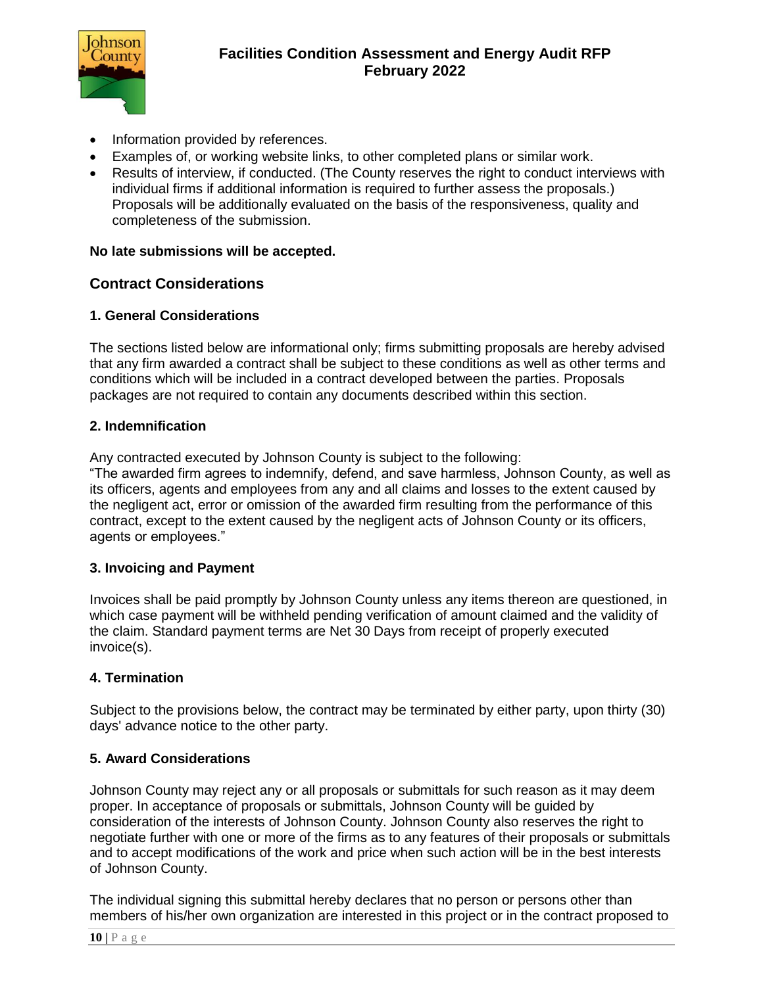

- Information provided by references.
- Examples of, or working website links, to other completed plans or similar work.
- Results of interview, if conducted. (The County reserves the right to conduct interviews with individual firms if additional information is required to further assess the proposals.) Proposals will be additionally evaluated on the basis of the responsiveness, quality and completeness of the submission.

#### **No late submissions will be accepted.**

## **Contract Considerations**

#### **1. General Considerations**

The sections listed below are informational only; firms submitting proposals are hereby advised that any firm awarded a contract shall be subject to these conditions as well as other terms and conditions which will be included in a contract developed between the parties. Proposals packages are not required to contain any documents described within this section.

#### **2. Indemnification**

Any contracted executed by Johnson County is subject to the following:

"The awarded firm agrees to indemnify, defend, and save harmless, Johnson County, as well as its officers, agents and employees from any and all claims and losses to the extent caused by the negligent act, error or omission of the awarded firm resulting from the performance of this contract, except to the extent caused by the negligent acts of Johnson County or its officers, agents or employees."

#### **3. Invoicing and Payment**

Invoices shall be paid promptly by Johnson County unless any items thereon are questioned, in which case payment will be withheld pending verification of amount claimed and the validity of the claim. Standard payment terms are Net 30 Days from receipt of properly executed invoice(s).

#### **4. Termination**

Subject to the provisions below, the contract may be terminated by either party, upon thirty (30) days' advance notice to the other party.

#### **5. Award Considerations**

Johnson County may reject any or all proposals or submittals for such reason as it may deem proper. In acceptance of proposals or submittals, Johnson County will be guided by consideration of the interests of Johnson County. Johnson County also reserves the right to negotiate further with one or more of the firms as to any features of their proposals or submittals and to accept modifications of the work and price when such action will be in the best interests of Johnson County.

The individual signing this submittal hereby declares that no person or persons other than members of his/her own organization are interested in this project or in the contract proposed to